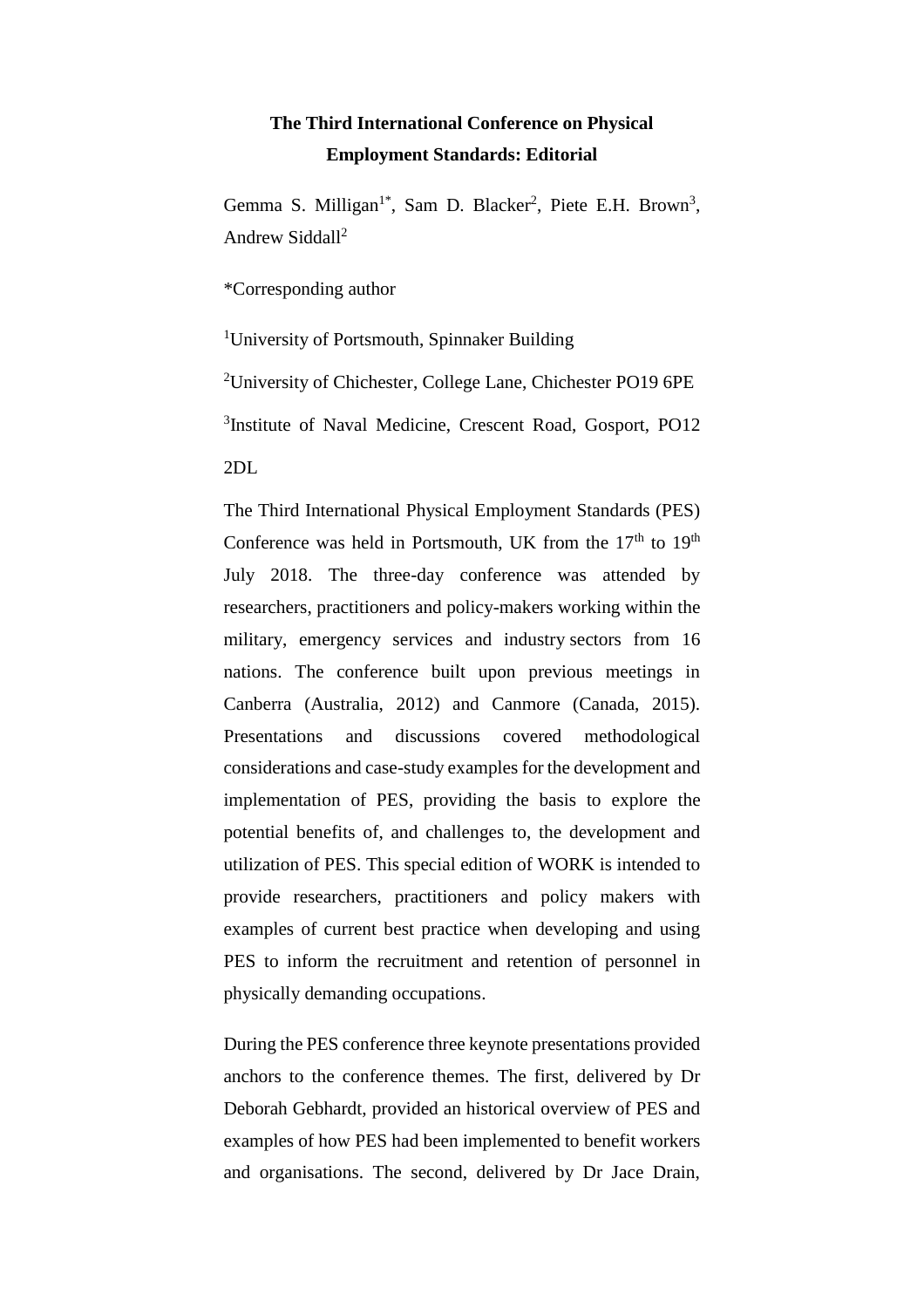## **The Third International Conference on Physical Employment Standards: Editorial**

Gemma S. Milligan<sup>1\*</sup>, Sam D. Blacker<sup>2</sup>, Piete E.H. Brown<sup>3</sup>, Andrew Siddall<sup>2</sup>

\*Corresponding author

<sup>1</sup>University of Portsmouth, Spinnaker Building

<sup>2</sup>University of Chichester, College Lane, Chichester PO19 6PE

3 Institute of Naval Medicine, Crescent Road, Gosport, PO12

2DL

The Third International Physical Employment Standards (PES) Conference was held in Portsmouth, UK from the  $17<sup>th</sup>$  to  $19<sup>th</sup>$ July 2018. The three-day conference was attended by researchers, practitioners and policy-makers working within the military, emergency services and industry sectors from 16 nations. The conference built upon previous meetings in Canberra (Australia, 2012) and Canmore (Canada, 2015). Presentations and discussions covered methodological considerations and case-study examples for the development and implementation of PES, providing the basis to explore the potential benefits of, and challenges to, the development and utilization of PES. This special edition of WORK is intended to provide researchers, practitioners and policy makers with examples of current best practice when developing and using PES to inform the recruitment and retention of personnel in physically demanding occupations.

During the PES conference three keynote presentations provided anchors to the conference themes. The first, delivered by Dr Deborah Gebhardt, provided an historical overview of PES and examples of how PES had been implemented to benefit workers and organisations. The second, delivered by Dr Jace Drain,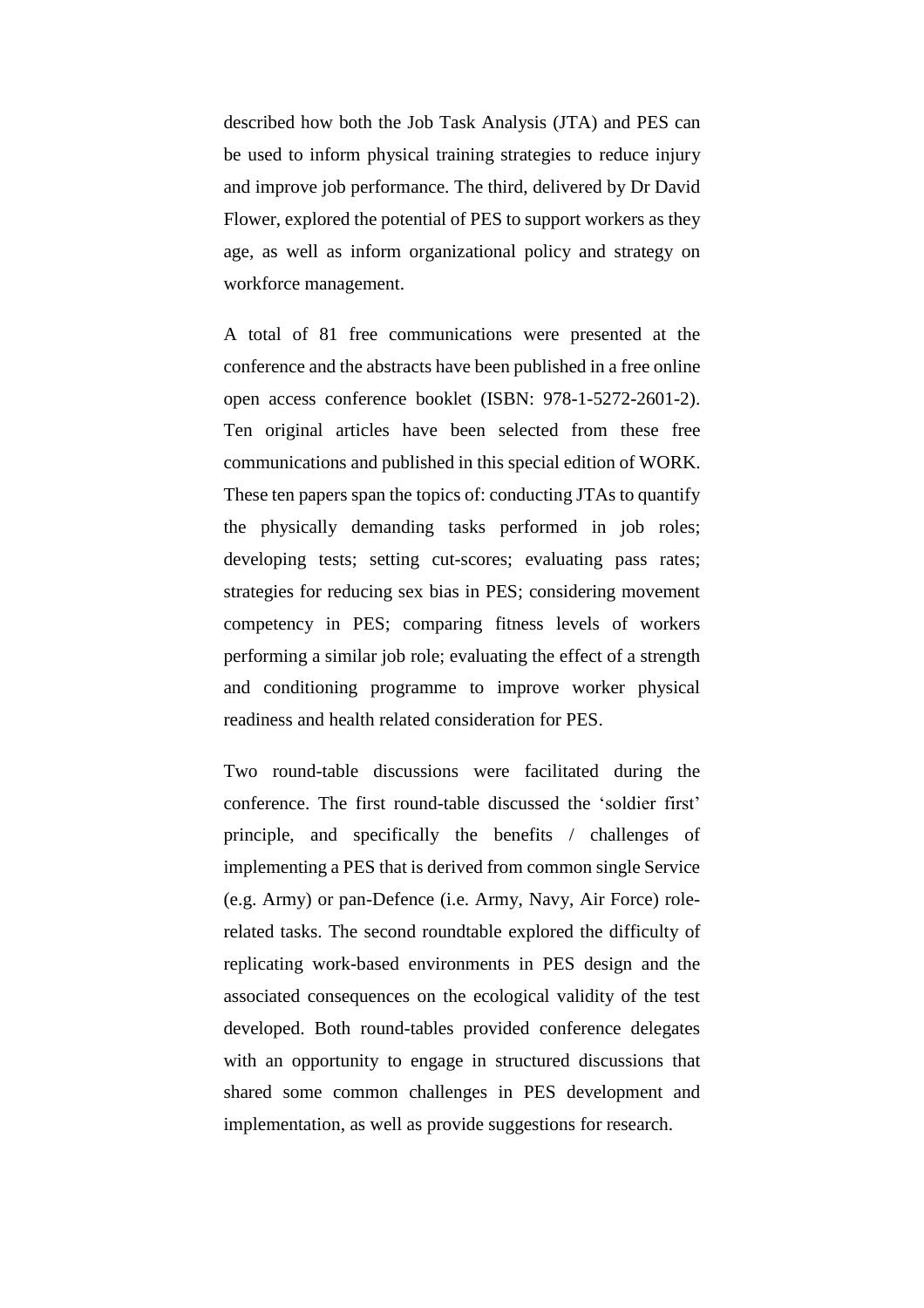described how both the Job Task Analysis (JTA) and PES can be used to inform physical training strategies to reduce injury and improve job performance. The third, delivered by Dr David Flower, explored the potential of PES to support workers as they age, as well as inform organizational policy and strategy on workforce management.

A total of 81 free communications were presented at the conference and the abstracts have been published in a free online open access conference booklet (ISBN: 978-1-5272-2601-2). Ten original articles have been selected from these free communications and published in this special edition of WORK. These ten papers span the topics of: conducting JTAs to quantify the physically demanding tasks performed in job roles; developing tests; setting cut-scores; evaluating pass rates; strategies for reducing sex bias in PES; considering movement competency in PES; comparing fitness levels of workers performing a similar job role; evaluating the effect of a strength and conditioning programme to improve worker physical readiness and health related consideration for PES.

Two round-table discussions were facilitated during the conference. The first round-table discussed the 'soldier first' principle, and specifically the benefits / challenges of implementing a PES that is derived from common single Service (e.g. Army) or pan-Defence (i.e. Army, Navy, Air Force) rolerelated tasks. The second roundtable explored the difficulty of replicating work-based environments in PES design and the associated consequences on the ecological validity of the test developed. Both round-tables provided conference delegates with an opportunity to engage in structured discussions that shared some common challenges in PES development and implementation, as well as provide suggestions for research.